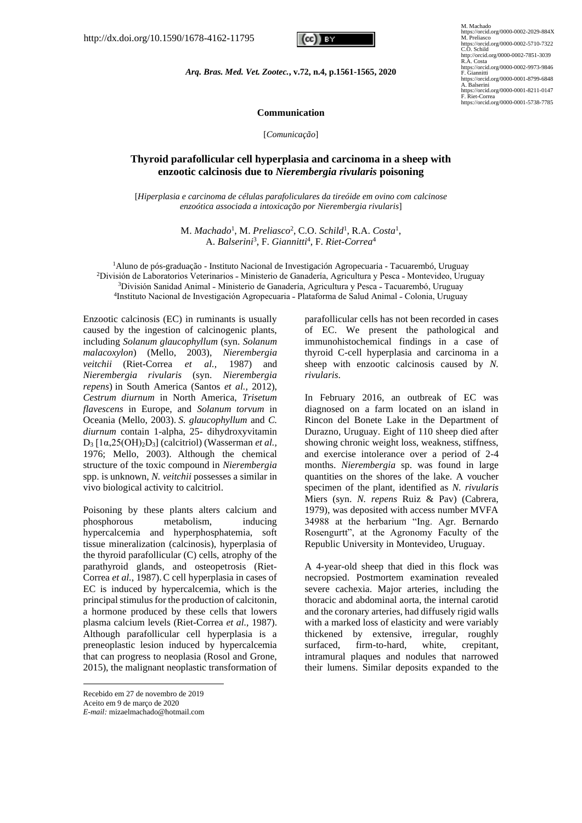

M. Machado<br>https://orcid.org/0000-0002-2029-884X<br>M. Preliasco<br>https://orcid.org/0000-0002-5710-7322<br>C.O. Schild http://orcid.org/0000-0002-7851-3039 R.A. Costa https://orcid.org/0000-0002-9973-9846 F. Giannitti https://orcid.org/0000-0001-8799-6848 https://orcid<br>A. Balserini<br>https:// https://orcid.org/0000-0001-8211-0147 F. Riet-Correa https://orcid.org/0000-0001-5738-7785

*Arq. Bras. Med. Vet. Zootec.***, v.72, n.4, p.1561-1565, 2020**

### **Communication**

[*Comunicação*]

# **Thyroid parafollicular cell hyperplasia and carcinoma in a sheep with enzootic calcinosis due to** *Nierembergia rivularis* **poisoning**

[*Hiperplasia e carcinoma de células parafoliculares da tireóide em ovino com calcinose enzoótica associada a intoxicação por Nierembergia rivularis*]

> M. *Machado*<sup>1</sup> , M. *Preliasco*<sup>2</sup> , C.O. *Schild*<sup>1</sup> , R.A. *Costa*<sup>1</sup> , A. *Balserini*<sup>3</sup> , F. *Giannitti*<sup>4</sup> , F. *Riet*-*Correa*<sup>4</sup>

<sup>1</sup>Aluno de pós-graduação - Instituto Nacional de Investigación Agropecuaria - Tacuarembó, Uruguay <sup>2</sup>División de Laboratorios Veterinarios - Ministerio de Ganadería, Agricultura y Pesca - Montevideo, Uruguay <sup>3</sup>División Sanidad Animal - Ministerio de Ganadería, Agricultura y Pesca - Tacuarembó, Uruguay <sup>4</sup>Instituto Nacional de Investigación Agropecuaria - Plataforma de Salud Animal - Colonia, Uruguay

Enzootic calcinosis (EC) in ruminants is usually caused by the ingestion of calcinogenic plants, including *Solanum glaucophyllum* (syn. *Solanum malacoxylon*) (Mello, 2003), *Nierembergia veitchii* (Riet-Correa *et al.,* 1987) and *Nierembergia rivularis* (syn. *Nierembergia repens*) in South America (Santos *et al.,* 2012), *Cestrum diurnum* in North America, *Trisetum flavescens* in Europe, and *Solanum torvum* in Oceania (Mello, 2003). *S. glaucophyllum* and *C. diurnum* contain 1-alpha, 25- dihydroxyvitamin D<sup>3</sup> [1α,25(OH)2D3] (calcitriol) (Wasserman *et al.,*  1976; Mello, 2003). Although the chemical structure of the toxic compound in *Nierembergia* spp. is unknown, *N. veitchii* possesses a similar in vivo biological activity to calcitriol.

Poisoning by these plants alters calcium and phosphorous metabolism, inducing hypercalcemia and hyperphosphatemia, soft tissue mineralization (calcinosis), hyperplasia of the thyroid parafollicular (C) cells, atrophy of the parathyroid glands, and osteopetrosis (Riet-Correa *et al.,* 1987).C cell hyperplasia in cases of EC is induced by hypercalcemia, which is the principal stimulus for the production of calcitonin, a hormone produced by these cells that lowers plasma calcium levels (Riet-Correa *et al.,* 1987). Although parafollicular cell hyperplasia is a preneoplastic lesion induced by hypercalcemia that can progress to neoplasia (Rosol and Grone, 2015), the malignant neoplastic transformation of

Recebido em 27 de novembro de 2019 Aceito em 9 de março de 2020 *E-mail:* mizaelmachado@hotmail.com parafollicular cells has not been recorded in cases of EC. We present the pathological and immunohistochemical findings in a case of thyroid C-cell hyperplasia and carcinoma in a sheep with enzootic calcinosis caused by *N. rivularis*.

In February 2016, an outbreak of EC was diagnosed on a farm located on an island in Rincon del Bonete Lake in the Department of Durazno, Uruguay. Eight of 110 sheep died after showing chronic weight loss, weakness, stiffness, and exercise intolerance over a period of 2-4 months. *Nierembergia* sp. was found in large quantities on the shores of the lake. A voucher specimen of the plant, identified as *N. rivularis* Miers (syn. *N. repens* Ruiz & Pav) (Cabrera, 1979), was deposited with access number MVFA 34988 at the herbarium "Ing. Agr. Bernardo Rosengurtt", at the Agronomy Faculty of the Republic University in Montevideo, Uruguay.

A 4-year-old sheep that died in this flock was necropsied. Postmortem examination revealed severe cachexia. Major arteries, including the thoracic and abdominal aorta, the internal carotid and the coronary arteries, had diffusely rigid walls with a marked loss of elasticity and were variably thickened by extensive, irregular, roughly surfaced, firm-to-hard, white, crepitant, intramural plaques and nodules that narrowed their lumens. Similar deposits expanded to the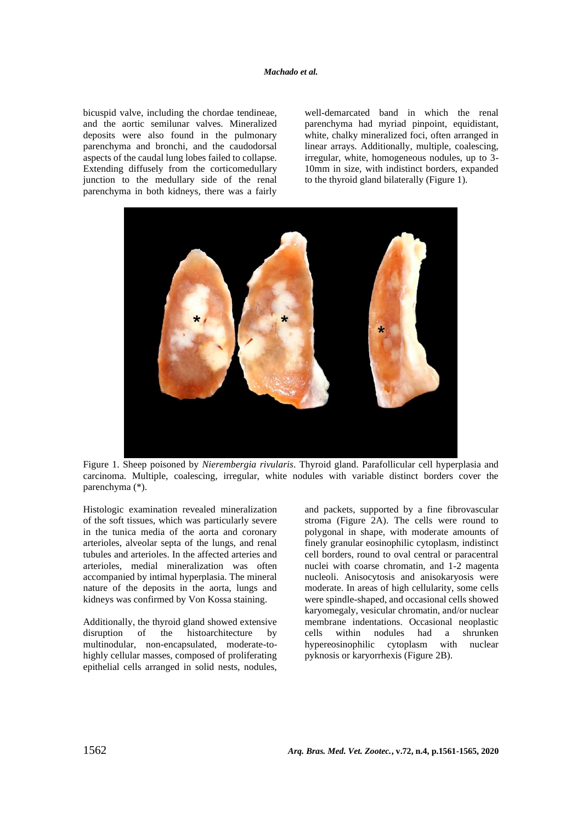bicuspid valve, including the chordae tendineae, and the aortic semilunar valves. Mineralized deposits were also found in the pulmonary parenchyma and bronchi, and the caudodorsal aspects of the caudal lung lobes failed to collapse. Extending diffusely from the corticomedullary junction to the medullary side of the renal parenchyma in both kidneys, there was a fairly well-demarcated band in which the renal parenchyma had myriad pinpoint, equidistant, white, chalky mineralized foci, often arranged in linear arrays. Additionally, multiple, coalescing, irregular, white, homogeneous nodules, up to 3- 10mm in size, with indistinct borders, expanded to the thyroid gland bilaterally (Figure 1).



Figure 1. Sheep poisoned by *Nierembergia rivularis*. Thyroid gland. Parafollicular cell hyperplasia and carcinoma. Multiple, coalescing, irregular, white nodules with variable distinct borders cover the parenchyma (\*).

Histologic examination revealed mineralization of the soft tissues, which was particularly severe in the tunica media of the aorta and coronary arterioles, alveolar septa of the lungs, and renal tubules and arterioles. In the affected arteries and arterioles, medial mineralization was often accompanied by intimal hyperplasia. The mineral nature of the deposits in the aorta, lungs and kidneys was confirmed by Von Kossa staining.

Additionally, the thyroid gland showed extensive disruption of the histoarchitecture by multinodular, non-encapsulated, moderate-tohighly cellular masses, composed of proliferating epithelial cells arranged in solid nests, nodules, and packets, supported by a fine fibrovascular stroma (Figure 2A). The cells were round to polygonal in shape, with moderate amounts of finely granular eosinophilic cytoplasm, indistinct cell borders, round to oval central or paracentral nuclei with coarse chromatin, and 1-2 magenta nucleoli. Anisocytosis and anisokaryosis were moderate. In areas of high cellularity, some cells were spindle-shaped, and occasional cells showed karyomegaly, vesicular chromatin, and/or nuclear membrane indentations. Occasional neoplastic cells within nodules had a shrunken hypereosinophilic cytoplasm with nuclear pyknosis or karyorrhexis (Figure 2B).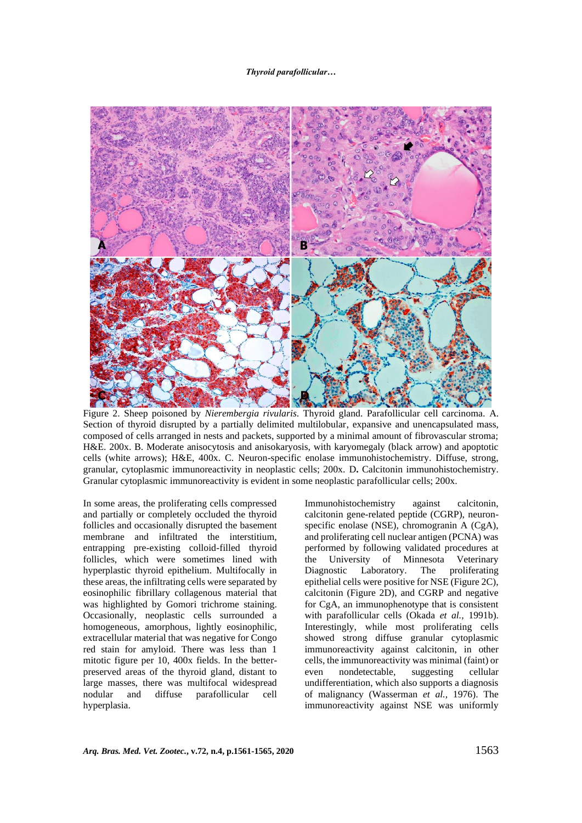#### *Thyroid parafollicular…*



Figure 2. Sheep poisoned by *Nierembergia rivularis*. Thyroid gland. Parafollicular cell carcinoma. A. Section of thyroid disrupted by a partially delimited multilobular, expansive and unencapsulated mass, composed of cells arranged in nests and packets, supported by a minimal amount of fibrovascular stroma; H&E. 200x. B. Moderate anisocytosis and anisokaryosis, with karyomegaly (black arrow) and apoptotic cells (white arrows); H&E, 400x. C. Neuron-specific enolase immunohistochemistry. Diffuse, strong, granular, cytoplasmic immunoreactivity in neoplastic cells; 200x. D**.** Calcitonin immunohistochemistry. Granular cytoplasmic immunoreactivity is evident in some neoplastic parafollicular cells; 200x.

In some areas, the proliferating cells compressed and partially or completely occluded the thyroid follicles and occasionally disrupted the basement membrane and infiltrated the interstitium, entrapping pre-existing colloid-filled thyroid follicles, which were sometimes lined with hyperplastic thyroid epithelium. Multifocally in these areas, the infiltrating cells were separated by eosinophilic fibrillary collagenous material that was highlighted by Gomori trichrome staining. Occasionally, neoplastic cells surrounded a homogeneous, amorphous, lightly eosinophilic, extracellular material that was negative for Congo red stain for amyloid. There was less than 1 mitotic figure per 10, 400x fields. In the betterpreserved areas of the thyroid gland, distant to large masses, there was multifocal widespread nodular and diffuse parafollicular cell hyperplasia.

Immunohistochemistry against calcitonin, calcitonin gene-related peptide (CGRP), neuronspecific enolase (NSE), chromogranin A (CgA), and proliferating cell nuclear antigen (PCNA) was performed by following validated procedures at the University of Minnesota Veterinary Diagnostic Laboratory. The proliferating epithelial cells were positive for NSE (Figure 2C), calcitonin (Figure 2D), and CGRP and negative for CgA, an immunophenotype that is consistent with parafollicular cells (Okada *et al.,* 1991b). Interestingly, while most proliferating cells showed strong diffuse granular cytoplasmic immunoreactivity against calcitonin, in other cells, the immunoreactivity was minimal (faint) or even nondetectable, suggesting cellular undifferentiation, which also supports a diagnosis of malignancy (Wasserman *et al.,* 1976). The immunoreactivity against NSE was uniformly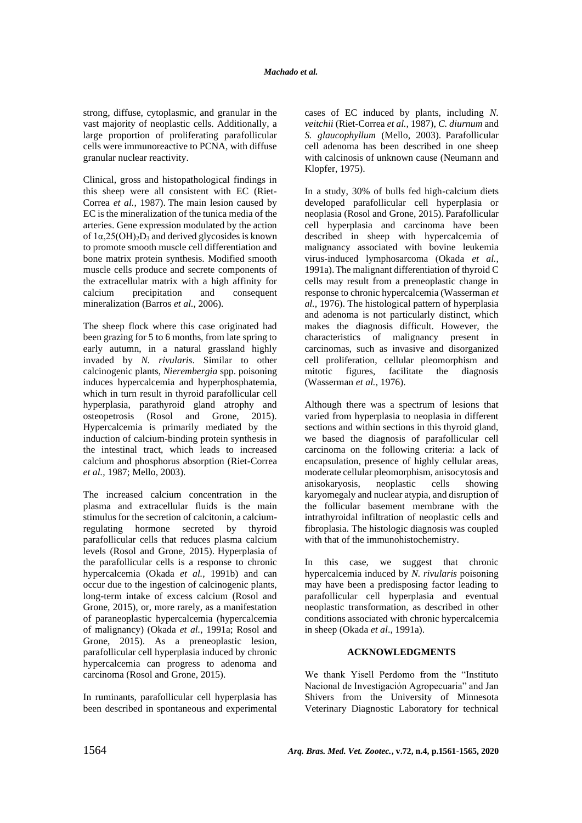strong, diffuse, cytoplasmic, and granular in the vast majority of neoplastic cells. Additionally, a large proportion of proliferating parafollicular cells were immunoreactive to PCNA, with diffuse granular nuclear reactivity.

Clinical, gross and histopathological findings in this sheep were all consistent with EC (Riet-Correa *et al.,* 1987). The main lesion caused by EC is the mineralization of the tunica media of the arteries. Gene expression modulated by the action of  $1\alpha, 25(OH)_2D_3$  and derived glycosides is known to promote smooth muscle cell differentiation and bone matrix protein synthesis. Modified smooth muscle cells produce and secrete components of the extracellular matrix with a high affinity for calcium precipitation and consequent mineralization (Barros *et al.,* 2006).

The sheep flock where this case originated had been grazing for 5 to 6 months, from late spring to early autumn, in a natural grassland highly invaded by *N. rivularis*. Similar to other calcinogenic plants, *Nierembergia* spp. poisoning induces hypercalcemia and hyperphosphatemia, which in turn result in thyroid parafollicular cell hyperplasia, parathyroid gland atrophy and osteopetrosis (Rosol and Grone, 2015). Hypercalcemia is primarily mediated by the induction of calcium-binding protein synthesis in the intestinal tract, which leads to increased calcium and phosphorus absorption (Riet-Correa *et al.,* 1987; Mello, 2003).

The increased calcium concentration in the plasma and extracellular fluids is the main stimulus for the secretion of calcitonin, a calciumregulating hormone secreted by thyroid parafollicular cells that reduces plasma calcium levels (Rosol and Grone, 2015). Hyperplasia of the parafollicular cells is a response to chronic hypercalcemia (Okada *et al.,* 1991b) and can occur due to the ingestion of calcinogenic plants, long-term intake of excess calcium (Rosol and Grone, 2015), or, more rarely, as a manifestation of paraneoplastic hypercalcemia (hypercalcemia of malignancy) (Okada *et al.,* 1991a; Rosol and Grone, 2015). As a preneoplastic lesion, parafollicular cell hyperplasia induced by chronic hypercalcemia can progress to adenoma and carcinoma (Rosol and Grone, 2015).

In ruminants, parafollicular cell hyperplasia has been described in spontaneous and experimental cases of EC induced by plants, including *N. veitchii* (Riet-Correa *et al.,* 1987), *C. diurnum* and *S. glaucophyllum* (Mello, 2003). Parafollicular cell adenoma has been described in one sheep with calcinosis of unknown cause (Neumann and Klopfer, 1975).

In a study, 30% of bulls fed high-calcium diets developed parafollicular cell hyperplasia or neoplasia (Rosol and Grone, 2015). Parafollicular cell hyperplasia and carcinoma have been described in sheep with hypercalcemia of malignancy associated with bovine leukemia virus-induced lymphosarcoma (Okada *et al.,*  1991a).The malignant differentiation of thyroid C cells may result from a preneoplastic change in response to chronic hypercalcemia (Wasserman *et al.,* 1976). The histological pattern of hyperplasia and adenoma is not particularly distinct, which makes the diagnosis difficult. However, the characteristics of malignancy present in carcinomas, such as invasive and disorganized cell proliferation, cellular pleomorphism and mitotic figures, facilitate the diagnosis (Wasserman *et al.,* 1976).

Although there was a spectrum of lesions that varied from hyperplasia to neoplasia in different sections and within sections in this thyroid gland, we based the diagnosis of parafollicular cell carcinoma on the following criteria: a lack of encapsulation, presence of highly cellular areas, moderate cellular pleomorphism, anisocytosis and anisokaryosis, neoplastic cells showing karyomegaly and nuclear atypia, and disruption of the follicular basement membrane with the intrathyroidal infiltration of neoplastic cells and fibroplasia. The histologic diagnosis was coupled with that of the immunohistochemistry.

In this case, we suggest that chronic hypercalcemia induced by *N. rivularis* poisoning may have been a predisposing factor leading to parafollicular cell hyperplasia and eventual neoplastic transformation, as described in other conditions associated with chronic hypercalcemia in sheep (Okada *et al*., 1991a).

## **ACKNOWLEDGMENTS**

We thank Yisell Perdomo from the "Instituto Nacional de Investigación Agropecuaria" and Jan Shivers from the University of Minnesota Veterinary Diagnostic Laboratory for technical